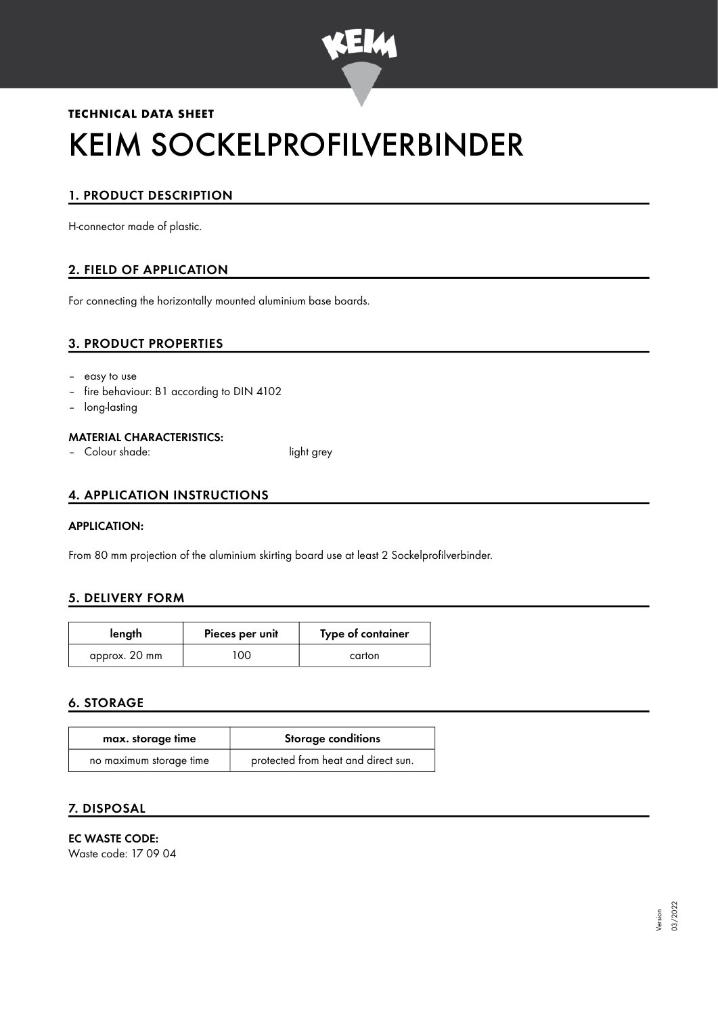

# **TECHNICAL DATA SHEET** KEIM SOCKELPROFILVERBINDER

# 1. PRODUCT DESCRIPTION

H-connector made of plastic.

## 2. FIELD OF APPLICATION

For connecting the horizontally mounted aluminium base boards.

#### 3. PRODUCT PROPERTIES

- easy to use
- fire behaviour: B1 according to DIN 4102
- long-lasting

#### MATERIAL CHARACTERISTICS:

– Colour shade: light grey

### 4. APPLICATION INSTRUCTIONS

#### APPLICATION:

From 80 mm projection of the aluminium skirting board use at least 2 Sockelprofilverbinder.

### 5. DELIVERY FORM

| length        | Pieces per unit | Type of container |
|---------------|-----------------|-------------------|
| approx. 20 mm | 00.             | carton            |

#### 6. STORAGE

| max. storage time       | <b>Storage conditions</b>           |  |
|-------------------------|-------------------------------------|--|
| no maximum storage time | protected from heat and direct sun. |  |

#### 7. DISPOSAL

## EC WASTE CODE:

Waste code: 17 09 04